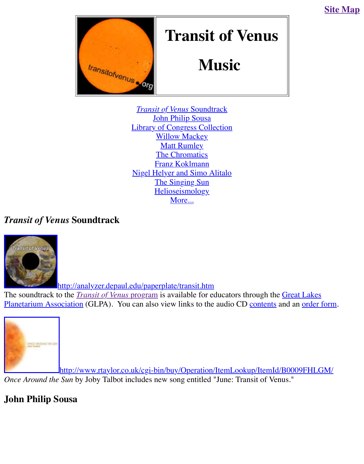

#### **Music**

*Transit of Venus* Soundtrack **John Philip Sousa** [Library](http://old.transitofvenus.org/index.htm) of Congress Collection **Willow Mackey Matt Rumley** The Chromatics Franz Koklmann [Nigel Helyer and Simo Alitalo](http://old.transitofvenus.org/music.htm#soundtrack) [The Singing Sun](http://old.transitofvenus.org/music.htm#library) **Helioseismology** [More...](http://old.transitofvenus.org/music.htm#mackey)

# *Transit of Venus* **Soundtrack**



http://analyzer.depaul.edu/paperplate/transit.htm

The soundtrack to the *Transit of Venus* program is available for educators through the **Great Lates** [Planetarium Association \(GLPA\). You can also view links to the](http://analyzer.depaul.edu/paperplate/label-audio.jpg) audio CD contents and an order



http://www.rtaylor.co.uk/cgi-bin/buy/Operation/ItemLookup/ItemId/B0009FI *Once Around the Sun* [by Joby Talbot includes new song entitled "June: Transit of Venus."](http://www.rtaylor.co.uk/cgi-bin/buy/Operation/ItemLookup/ItemId/B0009FHLGM/)

## **John Philip Sousa**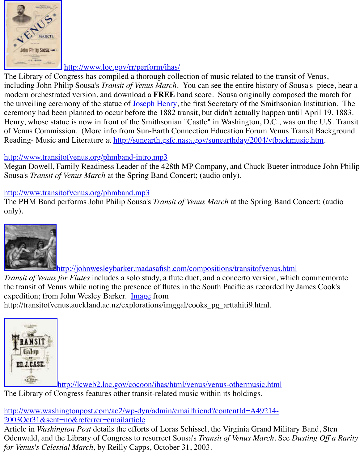

http://www.loc.gov/rr/perform/ihas/

[The Library of Co](http://lcweb2.loc.gov/cocoon/ihas/loc.natlib.ihas.100010997/enlarge.html?page=1§ion=&size=1024&from=pageturner)ngress has compiled a thorough collection of music related to the transit of V including John Philip Sousa's *Transit of Venus March*. You can see the entire history of Sousa' modern orchestrated version, and download a **FREE** band score. Sousa originally composed to the unveiling ceremony of the statue of Joseph Henry, the first Secretary of the Smithsonian In ceremony had been planned to occur before the 1882 transit, but didn't actually happen until A Henry, whose statue is now in front of the Smithsonian "Castle" in Washington, D.C., was on the U.S. Transition of Venus Commis[sion. \(More info from Sun-Earth Co](http://lcweb2.loc.gov/cocoon/ihas/loc.natlib.ihas.100010997/default.html)nnection Education Forum Venus Trans Reading- Music and Literature at http://sunearth.gsfc.nasa.gov/sunearthday/2004/vtbackmusic

#### http://www.transitofvenus.org/phmband-intro.mp3

Megan Dowell, Family Readiness Lead[er of the 428th](http://www.si.edu/archives/ihd/jhp/joseph01.htm) MP Company, and Chuck Bueter introd Sousa's *Transit of Venus March* at the Spring Band Concert; (audio only).

#### http://www.transitofvenus.org/phmband.mp3

The PHM Band performs John Philip Sousa's *Transit of Venus March* at the Spring Band Concert only).



http://johnwesleybarker.madasafish.com/compositions/transitofvenus.html

*Transit of Venus for Flutes* includes a solo study, a flute duet, and a concerto version, which co the transit of Venus while noting the presence of flutes in the South Pacific as recorded by Jam expedition; from John Wesley Barker. Image from

[http://transitofvenus.auckland.ac.nz/explorations/imggal/cooks\\_pg\\_arttahiti9.html.](http://johnwesleybarker.madasafish.com/compositions/transitofvenus.html) 



http://lcweb2.loc.gov/cocoon/ihas/html/venus/venus-othermusic.html

The Library of Congress features other transit-related music within its holdings.

[http://www.washingtonpost.com/ac2/wp-dyn/admin/emailfriend?contentId=A49214-](http://lcweb2.loc.gov/cocoon/ihas/html/venus/venus-othermusic.html) 2003Oct31&sent=no&referrer=emailarticle

Article in *Washington Post* details the efforts of Loras Schissel, the Virginia Grand Military Band, Steney Band, Steney Band, Steney Band, Steney Band, Steney Band, Steney Band, Steney Band, Steney Band, Steney Band, Ste Odenwald, and the Library of Congress to resurrect Sousa's *Transit of Venus March*. See *Dusti for Venus's Celestial March,* by Reilly Capps, October 31, 2003.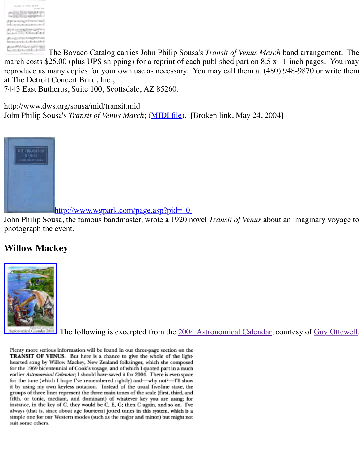$\min$  costs  $\phi$ 25.00 (plus OTD shipping) for a reprint of each published part on 8.5  $\pi$  11-inch p reproduce as many copies for your own use as necessary. You may call them at (480) 948-987 at The Detroit Concert Band, Inc.,

7443 East Butherus, Suite 100, Scottsdale, AZ 85260.

http://www.dws.org/sousa/mid/transit.mid John Philip Sousa's *Transit of Venus March*; (MIDI file). [Broken link, May 24, 2004]



#### http://www.wgpark.com/page.asp?pid=10

John Philip Sousa, the famous bandmaster, wrote a 1920 novel *Transit of Venus* about an imag photograph the event.

#### **[Willow Mack](http://www.wgpark.com/page.asp?pid=10)ey**



The following is excerpted from the 2004 Astronomical Calendar, courtesy of

Plenty more serious information will be found in our three-page section on the **TRANSIT OF VENUS.** But here is a chance to give the whole of the lighthearted song by Willow Mackey, New Zealand folksinger, which she composed for the 1969 bicentennial of Cook's voyage, and of which I quoted part in a much earlier Astronomical Calendar; I should have saved it for 2004. There is even space for the tune (which I hope I've remembered rightly) and—why not?—I'll show it by using my own keyless notation. Instead of the usual five-line stave, the groups of three lines represent the three main tones of the scale (first, third, and fifth, or tonic, mediant, and dominant) of whatever key you are using; for instance, in the key of C, they would be C, E, G; then C again, and so on. I've always (that is, since about age fourteen) jotted tunes in this system, which is a simple one for our Western modes (such as the major and minor) but might not suit some others.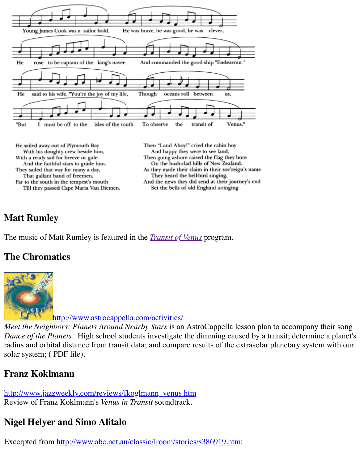

# **Matt Rumley**

The music of Matt Rumley is featured in the *Transit of Venus* program.

## **The Chromatics**



http://www.astrocappella.com/activities/

*Meet the Neighbors: Planets Around Nearby Stars* is an AstroCappella lesson plan to accompa *Dance of the Planets*. High school students investigate the dimming caused by a transit; determine a planety radius and orbital distance from transit data; and compare results of the extrasolar planetary sy solar system; ( PDF file).

# **[Franz Kokl](http://www.astrocappella.com/)[mann](http://www.astrocappella.com/activities/)**

http://www.jazzweekly.com/reviews/fkoglmann\_venus.htm Review of Franz Koklmann's *Venus in Transit* soundtrack.

# **Nigel Helyer and Simo Alitalo**

Excerpted from http://www.abc.net.au/classic/lroom/stories/s386919.htm: